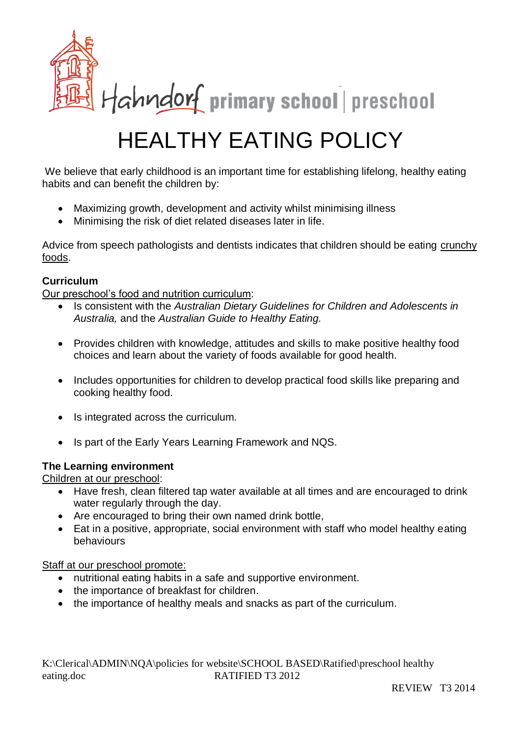

# HEALTHY EATING POLICY

We believe that early childhood is an important time for establishing lifelong, healthy eating habits and can benefit the children by:

- Maximizing growth, development and activity whilst minimising illness
- Minimising the risk of diet related diseases later in life.

Advice from speech pathologists and dentists indicates that children should be eating crunchy foods.

#### **Curriculum**

Our preschool's food and nutrition curriculum:

- Is consistent with the *Australian Dietary Guidelines for Children and Adolescents in Australia,* and the *Australian Guide to Healthy Eating.*
- Provides children with knowledge, attitudes and skills to make positive healthy food choices and learn about the variety of foods available for good health.
- Includes opportunities for children to develop practical food skills like preparing and cooking healthy food.
- Is integrated across the curriculum.
- Is part of the Early Years Learning Framework and NQS.

#### **The Learning environment**

Children at our preschool:

- Have fresh, clean filtered tap water available at all times and are encouraged to drink water regularly through the day.
- Are encouraged to bring their own named drink bottle,
- Eat in a positive, appropriate, social environment with staff who model healthy eating behaviours

#### Staff at our preschool promote:

- nutritional eating habits in a safe and supportive environment.
- the importance of breakfast for children.
- the importance of healthy meals and snacks as part of the curriculum.

K:\Clerical\ADMIN\NQA\policies for website\SCHOOL BASED\Ratified\preschool healthy eating.doc RATIFIED T3 2012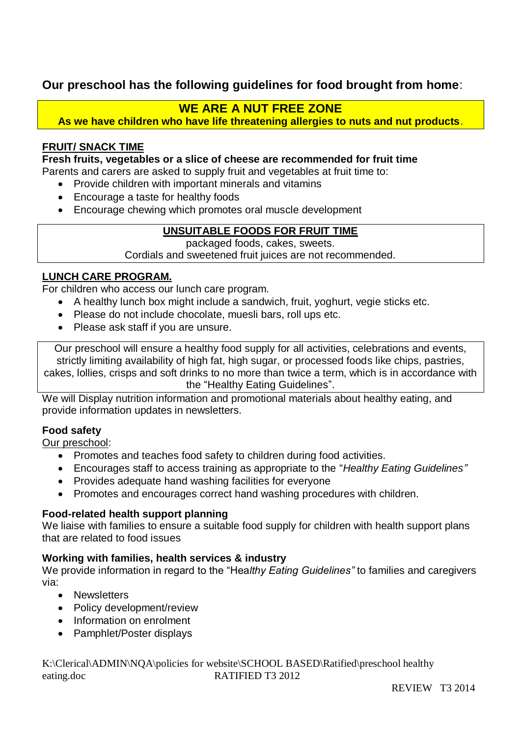## **Our preschool has the following guidelines for food brought from home**:

### **WE ARE A NUT FREE ZONE**

**As we have children who have life threatening allergies to nuts and nut products**.

#### **FRUIT/ SNACK TIME**

**Fresh fruits, vegetables or a slice of cheese are recommended for fruit time** 

Parents and carers are asked to supply fruit and vegetables at fruit time to:

- Provide children with important minerals and vitamins
- Encourage a taste for healthy foods
- Encourage chewing which promotes oral muscle development

#### **UNSUITABLE FOODS FOR FRUIT TIME**

packaged foods, cakes, sweets.

Cordials and sweetened fruit juices are not recommended.

#### **LUNCH CARE PROGRAM.**

For children who access our lunch care program.

- A healthy lunch box might include a sandwich, fruit, yoghurt, vegie sticks etc.
- Please do not include chocolate, muesli bars, roll ups etc.
- Please ask staff if you are unsure.

Our preschool will ensure a healthy food supply for all activities, celebrations and events, strictly limiting availability of high fat, high sugar, or processed foods like chips, pastries, cakes, lollies, crisps and soft drinks to no more than twice a term, which is in accordance with the "Healthy Eating Guidelines".

We will Display nutrition information and promotional materials about healthy eating, and provide information updates in newsletters.

#### **Food safety**

Our preschool:

- Promotes and teaches food safety to children during food activities.
- Encourages staff to access training as appropriate to the "*Healthy Eating Guidelines"*
- Provides adequate hand washing facilities for everyone
- Promotes and encourages correct hand washing procedures with children.

#### **Food-related health support planning**

We liaise with families to ensure a suitable food supply for children with health support plans that are related to food issues

#### **Working with families, health services & industry**

We provide information in regard to the "Hea*lthy Eating Guidelines"* to families and caregivers via:

- Newsletters
- Policy development/review
- Information on enrolment
- Pamphlet/Poster displays

K:\Clerical\ADMIN\NQA\policies for website\SCHOOL BASED\Ratified\preschool healthy eating.doc RATIFIED T3 2012